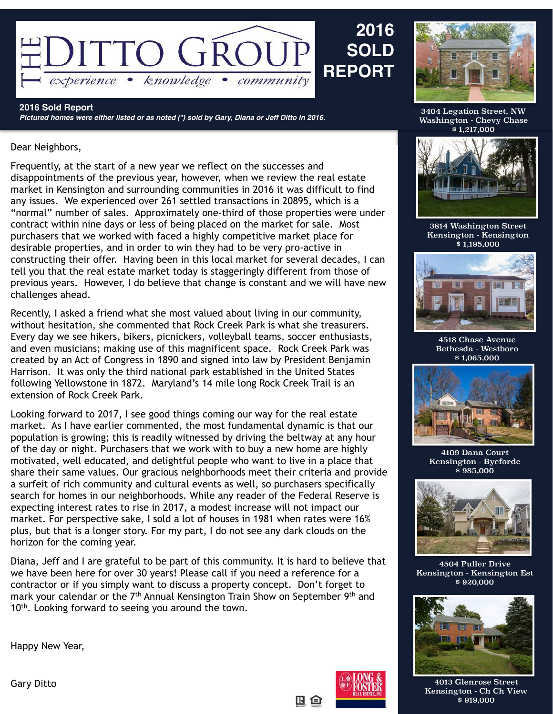

**2016 Sold Report** *Pictured homes were either listed or as noted (\*) sold by Gary, Diana or Jeff Ditto in 2016.*

## Dear Neighbors,

Frequently, at the start of a new year we reflect on the successes and disappointments of the previous year, however, when we review the real estate market in Kensington and surrounding communities in 2016 it was difficult to find any issues. We experienced over 261 settled transactions in 20895, which is a "normal" number of sales. Approximately one-third of those properties were under contract within nine days or less of being placed on the market for sale. Most purchasers that we worked with faced a highly competitive market place for desirable properties, and in order to win they had to be very pro-active in constructing their offer. Having been in this local market for several decades, I can tell you that the real estate market today is staggeringly different from those of previous years. However, I do believe that change is constant and we will have new challenges ahead.

Recently, I asked a friend what she most valued about living in our community, without hesitation, she commented that Rock Creek Park is what she treasurers. Every day we see hikers, bikers, picnickers, volleyball teams, soccer enthusiasts, and even musicians; making use of this magnificent space. Rock Creek Park was created by an Act of Congress in 1890 and signed into law by President Benjamin Harrison. It was only the third national park established in the United States following Yellowstone in 1872. Maryland's 14 mile long Rock Creek Trail is an extension of Rock Creek Park.

Looking forward to 2017, I see good things coming our way for the real estate market. As I have earlier commented, the most fundamental dynamic is that our population is growing; this is readily witnessed by driving the beltway at any hour of the day or night. Purchasers that we work with to buy a new home are highly motivated, well educated, and delightful people who want to live in a place that share their same values. Our gracious neighborhoods meet their criteria and provide a surfeit of rich community and cultural events as well, so purchasers specifically search for homes in our neighborhoods. While any reader of the Federal Reserve is expecting interest rates to rise in 2017, a modest increase will not impact our market. For perspective sake, I sold a lot of houses in 1981 when rates were 16% plus, but that is a longer story. For my part, I do not see any dark clouds on the horizon for the coming year.

Diana, Jeff and I are grateful to be part of this community. It is hard to believe that we have been here for over 30 years! Please call if you need a reference for a contractor or if you simply want to discuss a property concept. Don't forget to mark your calendar or the 7<sup>th</sup> Annual Kensington Train Show on September 9<sup>th</sup> and 10<sup>th</sup>. Looking forward to seeing you around the town.

Happy New Year,



**2016**

**SOLD** 

3404 Legation Street, NW Washington - Chevy Chase  $\frac{1}{2}$ \$1,217,000



3814 Washington Street Kensington - Kensington \$ 1,195,000



4518 Chase Avenue Bethesda - Westboro \$ 1,065,000



4109 Dana Court Kensington - Byeforde \$ 985,000



4504 Puller Drive Kensington - Kensington Est \$ 920,000



Gary Ditto **Account Account of the Contract of Account Account Account Account Account Account Account Account A** Kensington - Ch Ch View \$ 919,000

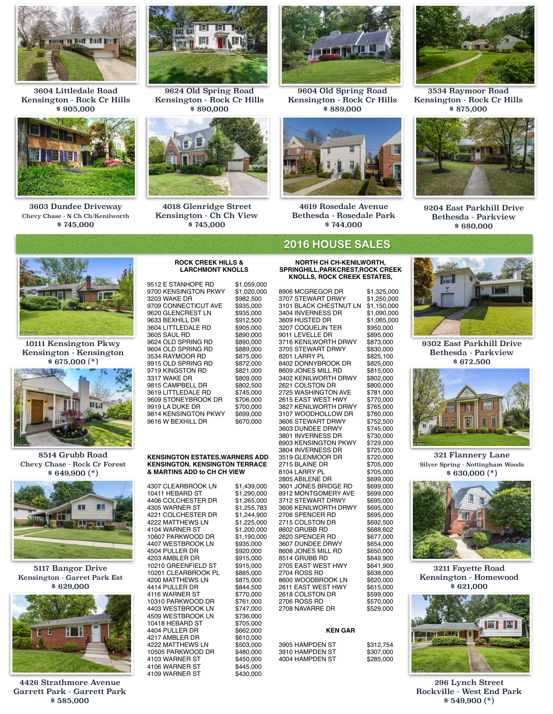

3604 Littledale Road Kensington - Rock Cr Hills \$ 905,000



3603 Dundee Driveway Chevy Chase - N Ch Ch/Kenilworth \$ 745,000



9624 Old Spring Road Kensington - Rock Cr Hills \$ 890,000



4018 Glenridge Street Kensington - Ch Ch View \$ 745,000



9604 Old Spring Road Kensington - Rock Cr Hills \$ 889,000



4619 Rosedale Avenue Bethesda - Rosedale Park \$ 744,000

# **2016 HOUSE SALES**

**NORTH CH CH-KENILWORTH, SPRINGHILL,PARKCREST,ROCK CREEK KNOLLS, ROCK CREEK ESTATES,**

8906 MCGREGOR DR \$1,325,000 3707 STEWART DRWY \$1,250,000 3101 BLACK CHESTNUT LN \$1,150,000 3404 INVERNESS DR \$1,090,000 3609 HUSTED DR \$1,065,00<br>3207 COQUELIN TER \$950.000 3207 COQUELIN TER \$950,000<br>9011 LEVELLE DR \$895,000 9011 LEVELLE DR \$895,000<br>3716 KENILWORTH DRWY \$873.000 3716 KENILWORTH DRWY \$873,000<br>3705 STEWART DRWY \$830,000 3705 STEWART DRWY \$830,000 8201 LARRY PL \$825,100<br>8402 DONNYBROOK DR \$825,000 8402 DONNYBROOK DR \$825,000<br>8609 JONES MILL RD \$815,000 8609 JONES MILL RD \$815,000<br>3402 KENILWORTH DRWY \$802,000 3402 KENILWORTH DRWY \$802,000 2621 COLSTON DR \$800,000<br>2725 WASHINGTON AVE \$781,000 2725 WASHINGTON AVE \$781,000<br>2615 EAST WEST HWY \$770,000 2615 EAST WEST HWY \$770,000<br>3827 KENILWORTH DRWY \$765,000 3827 KENILWORTH DRWY \$765,000 3107 WOODHOLLOW DR \$760,000<br>3606 STEWART DRWY \$752,500 3606 STEWART DRWY \$752,500<br>3603 DUNDEE DRWY \$745,000 3603 DUNDEE DRWY \$745,000<br>3801 INVERNESS DR \$730,000 3801 INVERNESS DR \$730,000<br>8903 KENSINGTON PKWY \$729,000 8903 KENSINGTON PKWY \$729,000<br>3804 INVERNESS DR \$725,000 3804 INVERNESS DR \$725,000<br>3519 GLENMOOR DR \$720,000 3519 GLENMOOR DR \$720,000<br>2715 BLAINE DR \$705,000 2715 BLAINE DR \$705,000 8104 LARRY PL<br>2805 ABILENE DR \$699,000 2805 ABILENE DR \$699,000<br>3601 JONES BRIDGE RD \$699,000 3601 JONES BRIDGE RD 8912 MONTGOMERY AVE \$699,000<br>3712 STEWART DRWY \$695,000 3712 STEWART DRWY 3606 KENILWORTH DRWY \$695,000 2706 SPENCER RD \$695,000 2715 COLSTON DR \$692,500<br>8602 GRUBB RD \$688,602 8602 GRUBB BD 2620 SPENCER RD \$677,000<br>3607 DUNDEE DRWY \$654.000 3607 DUNDEE DRWY \$654,000<br>8608 JONES MILL RD \$650,000 8608 JONES MILL RD \$650,000<br>8514 GRUBB RD \$649.900 8514 GRUBB RD \$649,900<br>2705 EAST WEST HWY \$641.900 2705 EAST WEST HWY \$641,900<br>2704 ROSS RD \$638,000 2704 ROSS RD \$638,000<br>8600 WOODBROOK LN \$620.000 8600 WOODBROOK LN \$620,000<br>2611 EAST WEST HWY \$615,000 2611 EAST WEST HWY \$615,000<br>2618 COLSTON DR \$599,000 2618 COLSTON DR \$599,000<br>2706 ROSS RD \$570,000 2706 ROSS RD \$570,000<br>2708 NAVARRE DR \$529,000 2708 NAVARRE DR

#### **KEN GAR**

3905 HAMPDEN ST \$312,754 3910 HAMPDEN ST \$307,000<br>4004 HAMPDEN ST \$285,000 4004 HAMPDEN ST

3534 Raymoor Road Kensington - Rock Cr Hills \$ 875,000



9204 East Parkhill Drive Bethesda - Parkview \$ 680,000



10111 Kensington Pkwy Kensington - Kensington \$ 675,000 (\*)



8514 Grubb Road Chevy Chase - Rock Cr Forest \$ 649,900 (\*)



5117 Bangor Drive Kensington - Garret Park Est \$ 629,000



4426 Strathmore Avenue Garrett Park - Garrett Park \$ 585,000

#### **KENSINGTON ESTATES,WARNERS ADD KENSINGTON, KENSINGTON TERRACE & MARTINS ADD to CH CH VIEW**

9616 W BEXHILL DR

9624 OLD SPRING RD \$890,000<br>9604 OLD SPRING RD \$889,000 9604 OLD SPRING RD \$889,000<br>3534 RAYMOOR RD \$875,000 3534 RAYMOOR RD \$875,000<br>9915 OLD SPRING RD \$872,000 9915 OLD SPRING RD \$872,000<br>9719 KINGSTON RD \$821,000 9719 KINGSTON RD \$821,000<br>3317 WAKE DR \$809,000 3317 WAKE DR \$809,000<br>9815 CAMPBELL DR \$802,500 9815 CAMPBELL DR \$802,500<br>3619 LITTLEDALE RD \$745.000 3619 LITTLEDALE RD \$745,000<br>9609 STONEYBROOK DR \$706,000 9609 STONEYBROOK DR \$706,000<br>9919 LA DUKE DR \$700.000 9919 LA DUKE DR \$700,000<br>9814 KENSINGTON PKWY \$699,000 9814 KENSINGTON PKWY \$699,000<br>9616 W BEXHILL DR \$670,000

4307 CLEARBROOK LN \$1,439,000 10411 HEBARD ST \$1,290,000<br>4406 COLCHESTER DR \$1,265,000 4406 COLCHESTER DR 4305 WARNER ST \$1,255,783<br>4221 COLCHESTER DR \$1,244,900 4221 COLCHESTER DR 4222 MATTHEWS LN \$1,225,000<br>4104 WARNER ST \$1,200,000 4104 WARNER ST 10607 PARKWOOD DR \$1,190,000<br>4407 WESTBROOK LN \$935.000 4407 WESTBROOK LN \$935,000<br>4504 PULLER DR \$920,000 4504 PULLER DR \$920,000<br>4203 AMBLER DR \$915.000 4203 AMBLER DR \$915,000<br>10210 GREENFIELD ST \$915,000 10210 GREENFIELD ST \$915,000<br>10201 CLEARBROOK PL \$885,000 10201 CLEARBROOK PL \$885,000<br>4200 MATTHEWS LN \$875,000 4200 MATTHEWS LN \$875,000<br>4414 PULLER DR \$844,500 4414 PULLER DR \$844,500<br>4116 WARNER ST \$770,000 4116 WARNER ST \$770,000<br>10310 PARKWOOD DR \$761,000 10310 PARKWOOD DR \$761,000<br>4403 WESTBROOK LN \$747,000 4403 WESTBROOK LN \$747,000<br>4509 WESTBROOK LN \$736,000 4509 WESTBROOK LN \$736,000<br>10418 HEBARD ST \$705.000 10418 HEBARD ST \$705,000<br>4404 PULLER DR \$662.000 4404 PULLER DR \$662,000<br>4217 AMBLER DR \$610,000 4217 AMBLER DR \$610,000<br>4222 MATTHEWS LN \$503.000 4222 MATTHEWS LN \$503,000<br>10505 PARKWOOD DR \$480.000 10505 PARKWOOD DR \$480,000<br>4103 WARNER ST \$450,000 4103 WARNER ST \$450,000<br>4106 WARNER ST \$445.000 4106 WARNER ST \$445,000<br>4109 WARNER ST \$430,000 4109 WARNER ST

# 9302 East Parkhill Drive Bethesda - Parkview

\$ 672,500



321 Flannery Lane Silver Spring - Nottingham Woods \$ 630,000 (\*)



3211 Fayette Road Kensington - Homewood \$ 621,000



296 Lynch Street Rockville - West End Park \$ 549,900 (\*)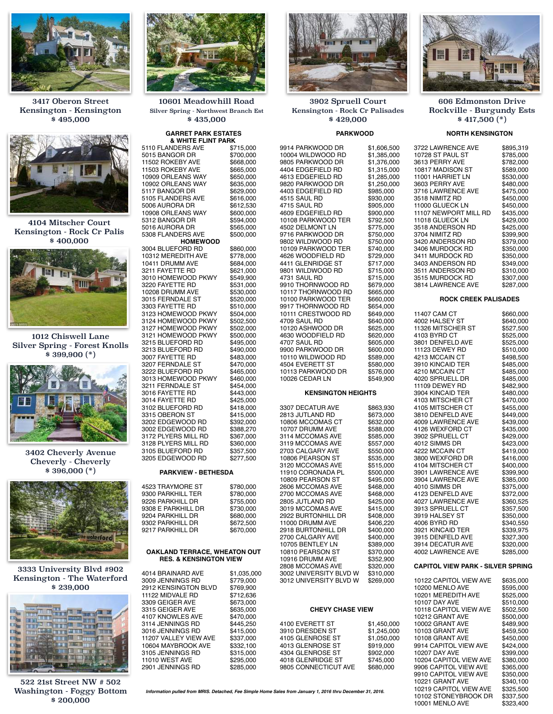

3417 Oberon Street Kensington - Kensington \$ 495,000



4104 Mitscher Court Kensington - Rock Cr Palis \$ 400,000



1012 Chiswell Lane Silver Spring - Forest Knolls \$ 399,900 (\*)



3402 Cheverly Avenue Cheverly - Cheverly \$ 396,000 (\*)



3333 University Blvd #902 Kensington - The Waterford \$ 239,000



522 21st Street NW # 502 Washington - Foggy Bottom \$ 200,000



10601 Meadowhill Road Silver Spring - Northwest Branch Est \$ 435,000

# **GARRET PARK ESTATES**

| .<br>& WHITE FLINT PARK            |           |
|------------------------------------|-----------|
| 5110 FLANDERS AVE                  | \$715,000 |
|                                    | \$700,000 |
| 5015 BANGOR DR<br>11502 ROKEBY AVE |           |
|                                    | \$668,000 |
| 11503 ROKEBY AVE                   | \$665,000 |
| 10909 ORLEANS WAY                  | \$650,000 |
| 10902 ORLEANS WAY                  | \$635,000 |
| 5117 BANGOR DR                     | \$629,000 |
| 5105 FLANDERS AVE                  | \$616,000 |
| 5006 AURORA DR                     | \$612,530 |
| 10908 ORLEANS WAY                  | \$600,000 |
| 5312 BANGOR DR                     | \$594,000 |
| 5016 AURORA DR                     | \$565,000 |
| 5308 FLANDERS AVE                  | \$500,000 |
| <b>HOMEWOOD</b>                    |           |
| 3004 BLUEFORD RD                   | \$860,000 |
| 10312 MEREDITH AVE                 | \$778,000 |
| 10411 DRUMM AVE                    | \$684,000 |
| 3211 FAYETTE RD                    | \$621,000 |
| 3010 HOMEWOOD PKWY                 | \$549,900 |
| 3220 FAYETTE RD                    | \$531,000 |
| 10208 DRUMM AVE                    | \$530,000 |
| 3015 FERNDALE ST                   | \$520,000 |
| 3303 FAYETTE RD                    | \$510,000 |
| 3123 HOMEWOOD PKWY                 | \$504,000 |
| 3124 HOMEWOOD PKWY                 | \$502,500 |
| 3127 HOMEWOOD PKWY                 | \$502,000 |
| 3121 HOMEWOOD PKWY                 | \$500,000 |
| 3215 BLUEFORD RD                   | \$495,000 |
| 3213 BLUEFORD RD                   | \$490,000 |
| 3007 FAYETTE RD                    | \$483,000 |
| 3207 FERNDALE ST                   | \$470,000 |
| 3222 BLUEFORD RD                   | \$465,000 |
| 3013 HOMEWOOD PKWY                 | \$460,000 |
| 3211 FERNDALE ST                   | \$454,000 |
| 3016 FAYETTE RD                    | \$443,000 |
| 3014 FAYETTE RD                    | \$425,000 |
| 3102 BLUEFORD RD                   | \$418,000 |
| 3315 OBERON ST                     | \$415,000 |
| 3202 EDGEWOOD RD                   | \$392,000 |
| 3002 EDGEWOOD RD                   | \$388,270 |
| 3172 PLYERS MILL RD                | \$367,000 |
| 3128 PLYERS MILL RD                | \$360,000 |
| 3105 BLUEFORD RD                   | \$357,500 |
| 3205 EDGEWOOD RD                   | \$277,500 |
|                                    |           |
|                                    |           |

#### **PARKVIEW - BETHESDA**

| 4523 TRAYMORE ST   | \$780,000 |
|--------------------|-----------|
| 9300 PARKHILL TER  | \$780,000 |
| 9226 PARKHILL DR   | \$755,000 |
| 9308 E PARKHILL DR | \$730,000 |
| 9204 PARKHILL DR   | \$680,000 |
| 9302 PARKHILL DR   | \$672,500 |
| 9217 PARKHILL DR   | \$670,000 |
|                    |           |

#### **OAKLAND TERRACE, WHEATON OUT RES. & KENSINGTON VIEW**

| 4014 BRAINARD AVE     | \$1,035,000 |
|-----------------------|-------------|
| 3009 JENNINGS RD      | \$779.000   |
| 2912 KENSINGTON BLVD  | \$769.900   |
| 11122 MIDVALE RD      | \$712,636   |
| 3309 GEIGER AVE       | \$673,000   |
| 3315 GEIGER AVE       | \$635.000   |
| 4107 KNOWLES AVE      | \$470,000   |
| 3114 JENNINGS RD      | \$445.250   |
| 3016 JENNINGS RD      | \$415.000   |
| 11207 VALLEY VIEW AVE | \$337,000   |
| 10604 MAYBROOK AVE    | \$332,100   |
| 3105 JENNINGS RD      | \$315,000   |
| <b>11010 WEST AVE</b> | \$295,000   |
| 2901 JENNINGS RD      | \$285.000   |



3902 Spruell Court Kensington - Rock Cr Palisades \$ 429,000

#### **PARKWOOD**

9914 PARKWOOD DR \$1,606,500 10004 WILDWOOD RD \$1,385,000<br>9805 PARKWOOD DR \$1,376,000 9805 PARKWOOD DR \$1,376,000<br>4404 EDGEFIELD RD \$1,315,000 4404 EDGEFIELD RD \$1,315,000<br>4613 EDGEFIELD RD \$1,285,000 4613 EDGEFIELD RD \$1,285,000<br>9820 PARKWOOD DR \$1,250,000 9820 PARKWOOD DR \$1,250,00<br>4403 EDGEFIELD RD \$985.000 4403 EDGEFIELD RD \$985,000 4515 SAUL RD \$930,000 4715 SAUL RD 4609 EDGEFIELD RD \$900,000<br>10108 PARKWOOD TER \$792.500 10108 PARKWOOD TER \$792,500<br>4502 DELMONT LN \$775,000 4502 DELMONT LN 9716 PARKWOOD DR \$750,000<br>9802 WILDWOOD RD \$750.000 9802 WILDWOOD RD \$750,000<br>10109 PARKWOOD TER \$740,000 10109 PARKWOOD TER \$740,000<br>4626 WOODFIELD RD \$729.000 4626 WOODFIELD RD \$729,000<br>4411 GLENRIDGE ST \$717,000 4411 GLENRIDGE ST \$717,000<br>9801 WILDWOOD RD \$715,000 9801 WILDWOOD RD \$715,000<br>4731 SAUL RD \$715,000 4731 SAUL RD \$715,000<br>9910 THORNWOOD RD \$679,000 9910 THORNWOOD RD \$679,000<br>10117 THORNWOOD RD \$665,000 10117 THORNWOOD RD \$665,000<br>10100 PARKWOOD TER \$660,000 10100 PARKWOOD TER \$660,000<br>9917 THORNWOOD RD \$654,000 9917 THORNWOOD RD \$654,000<br>10111 CRESTWOOD RD \$649,000 10111 CRESTWOOD RD \$649,000<br>4709 SAUL RD \$640,000 4709 SAUL RD \$640,000<br>10120 ASHWOOD DR \$625,000 10120 ASHWOOD DR \$625,000<br>4630 WOODFIELD RD \$620,000 4630 WOODFIELD RD \$620,000 4707 SAUL RD<br>9900 PARKWOOD DR \$600,000 9900 PARKWOOD DR \$600,000<br>10110 WILDWOOD RD \$589,000 10110 WILDWOOD RD \$589,000<br>4504 EVERETT ST \$580,000 4504 EVERETT ST \$580,000<br>10113 PARKWOOD DR \$576,000 10113 PARKWOOD DR \$576,000<br>10026 CEDAR LN \$549,900 10026 CEDAR LN **KENSINGTON HEIGHTS** 3307 DECATUR AVE \$863,930<br>2813 JUTLAND RD \$673.000 2813 JUTLAND RD \$673,000<br>10806 MCCOMAS CT \$632,000 10806 MCCOMAS CT \$632,000<br>10707 DRUMM AVE \$588,000 10707 DRUMM AVE \$588,000<br>3114 MCCOMAS AVE \$585,000 3114 MCCOMAS AVE \$585,000<br>3119 MCCOMAS AVE \$557,000 3119 MCCOMAS AVE 2703 CALGARY AVE \$550,000<br>10806 PEARSON ST \$535.000 10806 PEARSON ST \$535,000<br>3120 MCCOMAS AVE \$515,000 3120 MCCOMAS AVE

11910 CORONADA PL \$500,000<br>10809 PEARSON ST \$495.000 10809 PEARSON ST \$495,000<br>2606 MCCOMAS AVE \$468,000 2606 MCCOMAS AVE \$468,000<br>2700 MCCOMAS AVE \$468.000 2700 MCCOMAS AVE \$468,000<br>2805 JUTLAND RD \$425,000 2805 JUTLAND RD \$425,000<br>3019 MCCOMAS AVE \$415,000 3019 MCCOMAS AVE \$415,000<br>2922 BURTONHILL DR \$408,000 2922 BURTONHILL DR \$408,000<br>11000 DRUMM AVE \$406,220 11000 DRUMM AVE \$406,220<br>2918 BURTONHILL DR \$400,000 2918 BURTONHILL DR \$400,000<br>2700 CALGARY AVE \$400,000 2700 CALGARY AVE \$400,000<br>10705 BENTLEY LN \$389,000 10705 BENTLEY LN \$389,000<br>10810 PEARSON ST \$370,000 10810 PEARSON ST \$370,000<br>10916 DRUMM AVE \$352,900 10916 DRUMM AVE \$352,900<br>2808 MCCOMAS AVE \$320,000 2808 MCCOMAS AVE \$320,000<br>3002 UNIVERSITY BLVD W \$310,000 3002 UNIVERSITY BLVD W \$310,000

#### **CHEVY CHASE VIEW**

3012 UNIVERSITY BLVD W

| 4100 EVERETT ST      | \$1.450.000 |
|----------------------|-------------|
| 3910 DRESDEN ST      | \$1,245,000 |
| 4105 GLENROSE ST     | \$1.050.000 |
| 4013 GLENROSE ST     | \$919.000   |
| 4304 GLENROSE ST     | \$902.000   |
| 4018 GLENRIDGE ST    | \$745.000   |
| 9805 CONNECTICUT AVE | \$680,000   |
|                      |             |

#### 606 Edmonston Drive Rockville - Burgundy Ests \$ 417,500 (\*)

#### **NORTH KENSINGTON**

| 3722 LAWRENCE AVE<br>COLOR OF PAUL ST<br>3613 PERRY AVE<br>10817 MADISON ST<br>11001 HARRIET LN<br>3603 PERRY AVE<br>3716 LAWRENCE AVE<br>3518 NIMITZ RD<br>11000 GLUECK LN<br>11107 NEWPORT MILL RD<br>11018 GLUECK LN<br>3518 ANDERSON RD<br>3704 NIMITZ RD<br>3420 ANDERSON RD<br>3406 MURDOCK RD<br>3411 MURDOCK RD<br>3403 ANDERSON RD<br>3511 ANDERSON RD<br>3515 MURDOCK RD<br>3814 LAWRENCE AVE                                                                                                                                                                                                                                                                                  | \$895,319<br>\$785,000<br>\$782,000<br>\$589,000<br>\$530,000<br>\$480,000<br>\$475,000<br>\$450,000<br>\$450,000<br>\$435,000<br>\$429,000<br>\$425,000<br>\$399,900<br>\$379,000<br>\$350,000<br>\$350,000<br>\$349,000<br>\$310,000<br>\$307,000<br>\$287,000                                                                                                                                                                                       |
|------------------------------------------------------------------------------------------------------------------------------------------------------------------------------------------------------------------------------------------------------------------------------------------------------------------------------------------------------------------------------------------------------------------------------------------------------------------------------------------------------------------------------------------------------------------------------------------------------------------------------------------------------------------------------------------|--------------------------------------------------------------------------------------------------------------------------------------------------------------------------------------------------------------------------------------------------------------------------------------------------------------------------------------------------------------------------------------------------------------------------------------------------------|
| <b>ROCK CREEK PALISADES</b>                                                                                                                                                                                                                                                                                                                                                                                                                                                                                                                                                                                                                                                              |                                                                                                                                                                                                                                                                                                                                                                                                                                                        |
| 11407 CAM CT<br>4002 HALSEY ST<br>11326 MITSCHER ST<br>4103 BYRD CT<br>3801 DENFELD AVE<br>11123 DEWEY RD<br>4213 MCCAIN CT<br>3910 KINCAID TER<br>4210 MCCAIN CT<br>4020 SPRUELL DR<br>11109 DEWEY RD<br>3904 KINCAID TER<br>4103 MITSCHER CT<br>4105 MITSCHER CT<br>3810 DENFELD AVE<br>4009 LAWRENCE AVE<br>4126 WEXFORD CT<br>3902 SPRUELL CT<br>4012 SIMMS DR<br>4222 MCCAIN CT<br>3800 WEXFORD DR<br>4104 MITSCHER CT<br>3901 LAWRENCE AVE<br>3904 LAWRENCE AVE<br>4010 SIMMS DR<br>4123 DENFELD AVE<br>4027 LAWRENCE AVE<br>3913 SPRUELL CT<br>9913 SPRUELL CT<br>3919 HALSEY ST<br>4006 BYRD RD<br>3921 KINCAID TER<br>3915 DENFELD AVE<br>3914 DECATUR AVE<br>4002 LAWRENCE AVE | \$660,000<br>\$640,000<br>\$527,500<br>\$525,000<br>\$525,000<br>\$510,000<br>\$498,500<br>\$485,000<br>\$485,000<br>\$485,000<br>\$482,900<br>\$480,000<br>\$470,000<br>\$455,000<br>\$449,000<br>\$439,000<br>\$435,000<br>\$429,000<br>\$423,000<br>\$419,000<br>\$416,000<br>\$400,000<br>\$399,900<br>\$385,000<br>\$375,000<br>\$372,000<br>\$360,525<br>\$357,500<br>\$350,000<br>\$340,550<br>\$339,975<br>\$327,300<br>\$320,000<br>\$285,000 |
| <b>CAPITOL VIEW PARK - SILVER SPRING</b>                                                                                                                                                                                                                                                                                                                                                                                                                                                                                                                                                                                                                                                 |                                                                                                                                                                                                                                                                                                                                                                                                                                                        |
| 10122 CAPITOL VIEW AVE<br>10200 MENLO AVE<br>10201 MEREDITH AVE<br>10107 DAY AVE<br>10118 CAPITOL VIEW AVE<br>10212 GRANT AVE<br>10002 GRANT AVE<br>10103 GRANT AVE<br>10108 GRANT AVE<br>9914 CAPITOL VIEW AVE<br>10207 DAY AVE<br>10204 CAPITOL VIEW AVE<br>9906 CAPITOL VIEW AVE<br>9910 CAPITOL VIEW AVE<br>10221 GRANT AVE<br>10219 CAPITOL VIEW AVE<br>10102 STONEYBROOK DR                                                                                                                                                                                                                                                                                                        | \$635,000<br>\$595,000<br>\$525,000<br>\$510,000<br>\$502,500<br>\$500,000<br>\$489,900<br>\$459,500<br>\$450,000<br>\$424,000<br>\$399,000<br>\$380,000<br>\$365,000<br>\$350,000<br>\$340,100<br>\$325,500<br>\$337,500                                                                                                                                                                                                                              |

10001 MENLO AVE \$323,400

*Information pulled from MRIS. Detached, Fee Simple Home Sales from January 1, 2016 thru December 31, 2016.*